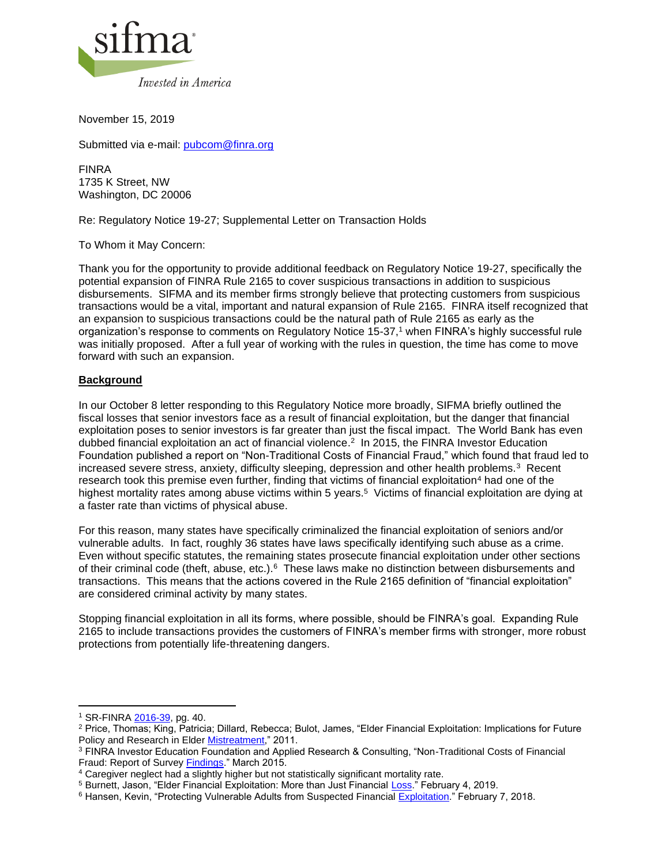

November 15, 2019

Submitted via e-mail: [pubcom@finra.org](mailto:pubcom@finra.org)

FINRA 1735 K Street, NW Washington, DC 20006

Re: Regulatory Notice 19-27; Supplemental Letter on Transaction Holds

To Whom it May Concern:

Thank you for the opportunity to provide additional feedback on Regulatory Notice 19-27, specifically the potential expansion of FINRA Rule 2165 to cover suspicious transactions in addition to suspicious disbursements. SIFMA and its member firms strongly believe that protecting customers from suspicious transactions would be a vital, important and natural expansion of Rule 2165. FINRA itself recognized that an expansion to suspicious transactions could be the natural path of Rule 2165 as early as the organization's response to comments on Regulatory Notice 15-37, <sup>1</sup> when FINRA's highly successful rule was initially proposed. After a full year of working with the rules in question, the time has come to move forward with such an expansion.

### **Background**

In our October 8 letter responding to this Regulatory Notice more broadly, SIFMA briefly outlined the fiscal losses that senior investors face as a result of financial exploitation, but the danger that financial exploitation poses to senior investors is far greater than just the fiscal impact. The World Bank has even dubbed financial exploitation an act of financial violence. 2 In 2015, the FINRA Investor Education Foundation published a report on "Non-Traditional Costs of Financial Fraud," which found that fraud led to increased severe stress, anxiety, difficulty sleeping, depression and other health problems.<sup>3</sup> Recent research took this premise even further, finding that victims of financial exploitation<sup>4</sup> had one of the highest mortality rates among abuse victims within 5 years.<sup>5</sup> Victims of financial exploitation are dying at a faster rate than victims of physical abuse.

For this reason, many states have specifically criminalized the financial exploitation of seniors and/or vulnerable adults. In fact, roughly 36 states have laws specifically identifying such abuse as a crime. Even without specific statutes, the remaining states prosecute financial exploitation under other sections of their criminal code (theft, abuse, etc.).<sup>6</sup> These laws make no distinction between disbursements and transactions. This means that the actions covered in the Rule 2165 definition of "financial exploitation" are considered criminal activity by many states.

Stopping financial exploitation in all its forms, where possible, should be FINRA's goal. Expanding Rule 2165 to include transactions provides the customers of FINRA's member firms with stronger, more robust protections from potentially life-threatening dangers.

<sup>1</sup> SR-FINRA [2016-39,](https://www.finra.org/sites/default/files/rule_filing_file/SR-FINRA-2016-039.pdf) pg. 40.

<sup>2</sup> Price, Thomas; King, Patricia; Dillard, Rebecca; Bulot, James, "Elder Financial Exploitation: Implications for Future Policy and Research in Elder [Mistreatment,](https://www.ncbi.nlm.nih.gov/pmc/articles/PMC3117613/)" 2011.

<sup>3</sup> FINRA Investor Education Foundation and Applied Research & Consulting, "Non-Traditional Costs of Financial Fraud: Report of Survey **Findings**." March 2015.

<sup>4</sup> Caregiver neglect had a slightly higher but not statistically significant mortality rate.

<sup>&</sup>lt;sup>5</sup> Burnett, Jason, "Elder Financial Exploitation: More than Just Financial [Loss.](https://www.sifma.org/resources/news/elder-financial-exploitation-more-than-just-financial-loss/)" February 4, 2019.

<sup>6</sup> Hansen, Kevin, "Protecting Vulnerable Adults from Suspected Financia[l Exploitation.](https://www.sifma.org/resources/news/protecting-vulnerable-adults-from-suspected-financial-exploitation/)" February 7, 2018.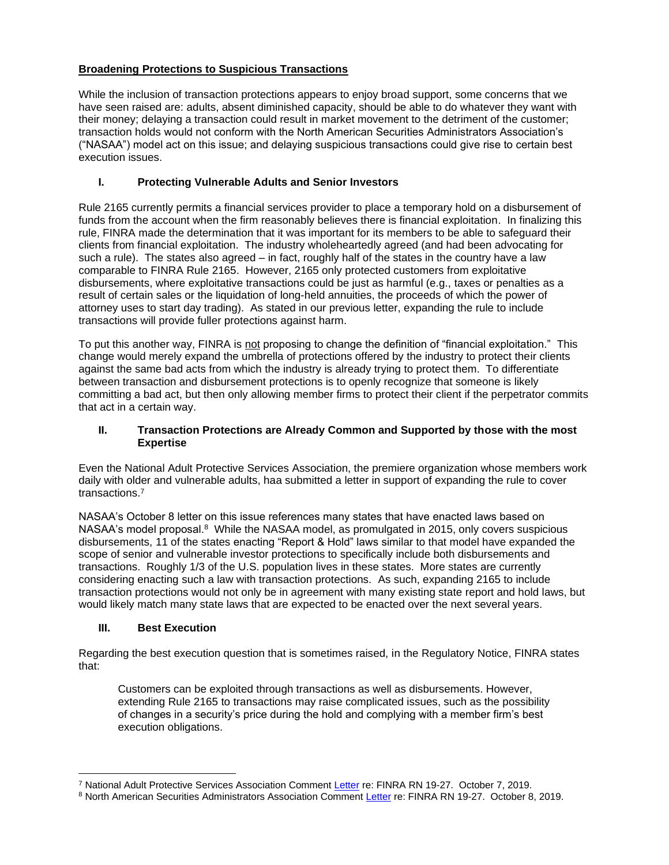# **Broadening Protections to Suspicious Transactions**

While the inclusion of transaction protections appears to enjoy broad support, some concerns that we have seen raised are: adults, absent diminished capacity, should be able to do whatever they want with their money; delaying a transaction could result in market movement to the detriment of the customer; transaction holds would not conform with the North American Securities Administrators Association's ("NASAA") model act on this issue; and delaying suspicious transactions could give rise to certain best execution issues.

### **I. Protecting Vulnerable Adults and Senior Investors**

Rule 2165 currently permits a financial services provider to place a temporary hold on a disbursement of funds from the account when the firm reasonably believes there is financial exploitation. In finalizing this rule, FINRA made the determination that it was important for its members to be able to safeguard their clients from financial exploitation. The industry wholeheartedly agreed (and had been advocating for such a rule). The states also agreed – in fact, roughly half of the states in the country have a law comparable to FINRA Rule 2165. However, 2165 only protected customers from exploitative disbursements, where exploitative transactions could be just as harmful (e.g., taxes or penalties as a result of certain sales or the liquidation of long-held annuities, the proceeds of which the power of attorney uses to start day trading). As stated in our previous letter, expanding the rule to include transactions will provide fuller protections against harm.

To put this another way, FINRA is not proposing to change the definition of "financial exploitation." This change would merely expand the umbrella of protections offered by the industry to protect their clients against the same bad acts from which the industry is already trying to protect them. To differentiate between transaction and disbursement protections is to openly recognize that someone is likely committing a bad act, but then only allowing member firms to protect their client if the perpetrator commits that act in a certain way.

#### **II. Transaction Protections are Already Common and Supported by those with the most Expertise**

Even the National Adult Protective Services Association, the premiere organization whose members work daily with older and vulnerable adults, haa submitted a letter in support of expanding the rule to cover transactions.<sup>7</sup>

NASAA's October 8 letter on this issue references many states that have enacted laws based on NASAA's model proposal.<sup>8</sup> While the NASAA model, as promulgated in 2015, only covers suspicious disbursements, 11 of the states enacting "Report & Hold" laws similar to that model have expanded the scope of senior and vulnerable investor protections to specifically include both disbursements and transactions. Roughly 1/3 of the U.S. population lives in these states. More states are currently considering enacting such a law with transaction protections. As such, expanding 2165 to include transaction protections would not only be in agreement with many existing state report and hold laws, but would likely match many state laws that are expected to be enacted over the next several years.

## **III. Best Execution**

Regarding the best execution question that is sometimes raised, in the Regulatory Notice, FINRA states that:

Customers can be exploited through transactions as well as disbursements. However, extending Rule 2165 to transactions may raise complicated issues, such as the possibility of changes in a security's price during the hold and complying with a member firm's best execution obligations.

<sup>7</sup> National Adult Protective Services Association Comment [Letter](https://www.finra.org/sites/default/files/2019-10/19-27_NAPSA_comment.pdf) re: FINRA RN 19-27. October 7, 2019.

<sup>8</sup> North American Securities Administrators Association Comment [Letter](https://www.finra.org/sites/default/files/2019-10/19-27_NASAA_comment.pdf) re: FINRA RN 19-27. October 8, 2019.